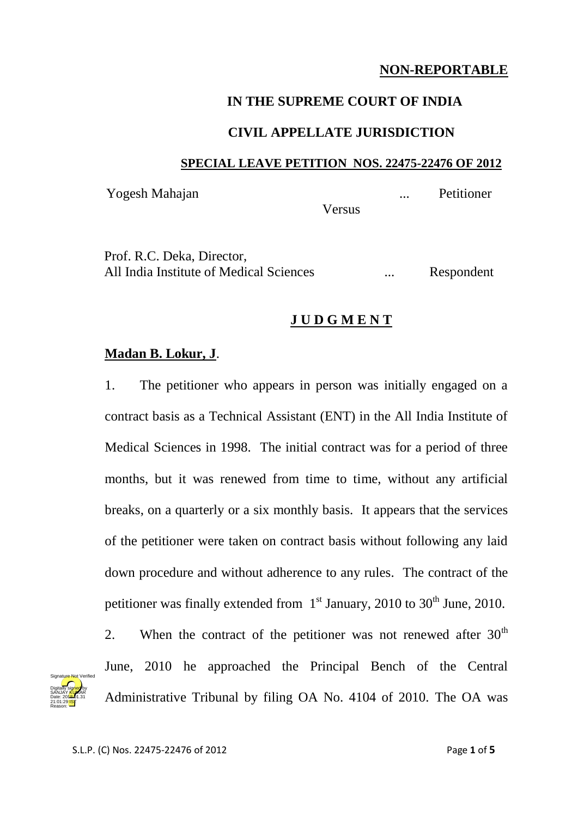# **NON-REPORTABLE**

### **IN THE SUPREME COURT OF INDIA**

### **CIVIL APPELLATE JURISDICTION**

#### **SPECIAL LEAVE PETITION NOS. 22475-22476 OF 2012**

Yogesh Mahajan ... Petitioner

**Versus** 

Prof. R.C. Deka, Director, All India Institute of Medical Sciences ... Respondent

## **J U D G M E N T**

### **Madan B. Lokur, J**.

1. The petitioner who appears in person was initially engaged on a contract basis as a Technical Assistant (ENT) in the All India Institute of Medical Sciences in 1998. The initial contract was for a period of three months, but it was renewed from time to time, without any artificial breaks, on a quarterly or a six monthly basis. It appears that the services of the petitioner were taken on contract basis without following any laid down procedure and without adherence to any rules. The contract of the petitioner was finally extended from  $1<sup>st</sup>$  January, 2010 to 30<sup>th</sup> June, 2010.



2. When the contract of the petitioner was not renewed after  $30<sup>th</sup>$ June, 2010 he approached the Principal Bench of the Central Administrative Tribunal by filing OA No. 4104 of 2010. The OA was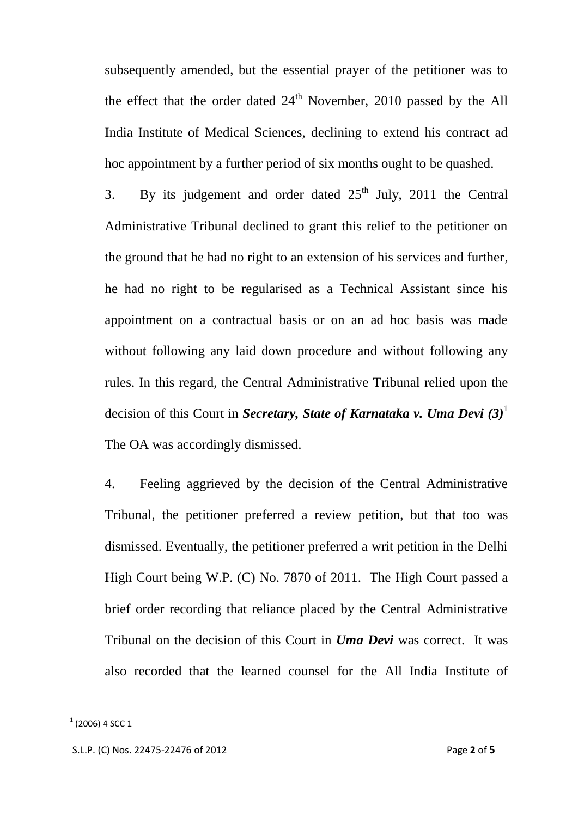subsequently amended, but the essential prayer of the petitioner was to the effect that the order dated  $24<sup>th</sup>$  November, 2010 passed by the All India Institute of Medical Sciences, declining to extend his contract ad hoc appointment by a further period of six months ought to be quashed.

3. By its judgement and order dated  $25<sup>th</sup>$  July, 2011 the Central Administrative Tribunal declined to grant this relief to the petitioner on the ground that he had no right to an extension of his services and further, he had no right to be regularised as a Technical Assistant since his appointment on a contractual basis or on an ad hoc basis was made without following any laid down procedure and without following any rules. In this regard, the Central Administrative Tribunal relied upon the decision of this Court in *Secretary, State of Karnataka v. Uma Devi (3)*<sup>1</sup>  The OA was accordingly dismissed.

4. Feeling aggrieved by the decision of the Central Administrative Tribunal, the petitioner preferred a review petition, but that too was dismissed. Eventually, the petitioner preferred a writ petition in the Delhi High Court being W.P. (C) No. 7870 of 2011. The High Court passed a brief order recording that reliance placed by the Central Administrative Tribunal on the decision of this Court in *Uma Devi* was correct. It was also recorded that the learned counsel for the All India Institute of

 1 (2006) 4 SCC 1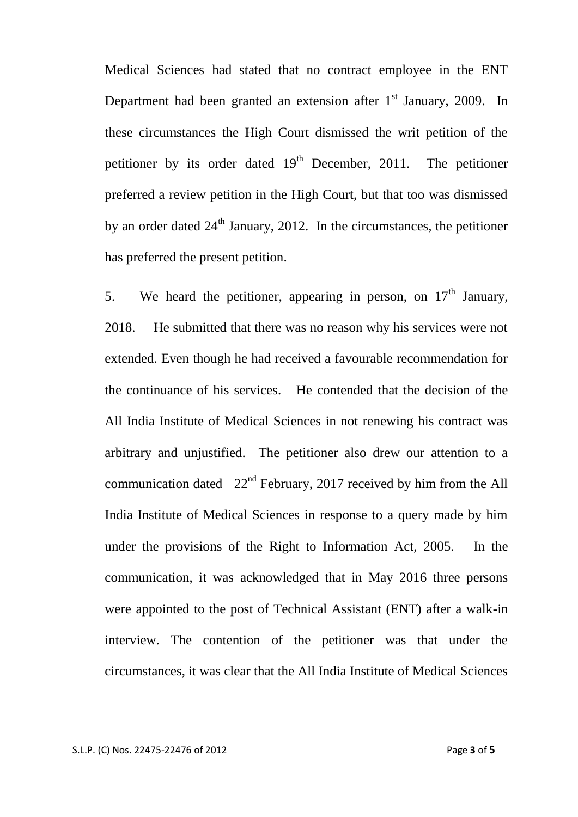Medical Sciences had stated that no contract employee in the ENT Department had been granted an extension after  $1<sup>st</sup>$  January, 2009. In these circumstances the High Court dismissed the writ petition of the petitioner by its order dated  $19<sup>th</sup>$  December, 2011. The petitioner preferred a review petition in the High Court, but that too was dismissed by an order dated  $24<sup>th</sup>$  January, 2012. In the circumstances, the petitioner has preferred the present petition.

5. We heard the petitioner, appearing in person, on  $17<sup>th</sup>$  January, 2018. He submitted that there was no reason why his services were not extended. Even though he had received a favourable recommendation for the continuance of his services. He contended that the decision of the All India Institute of Medical Sciences in not renewing his contract was arbitrary and unjustified. The petitioner also drew our attention to a communication dated  $22<sup>nd</sup>$  February, 2017 received by him from the All India Institute of Medical Sciences in response to a query made by him under the provisions of the Right to Information Act, 2005. In the communication, it was acknowledged that in May 2016 three persons were appointed to the post of Technical Assistant (ENT) after a walk-in interview. The contention of the petitioner was that under the circumstances, it was clear that the All India Institute of Medical Sciences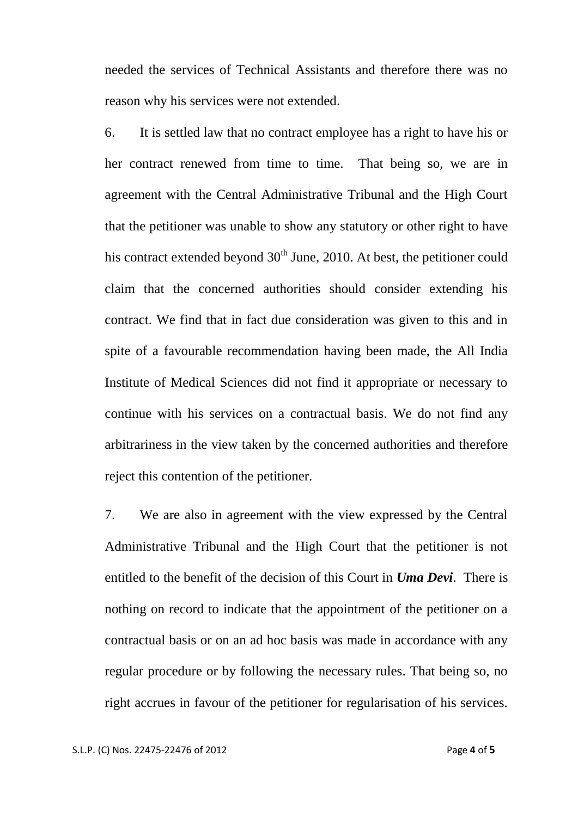needed the services of Technical Assistants and therefore there was no reason why his services were not extended.

6. It is settled law that no contract employee has a right to have his or her contract renewed from time to time. That being so, we are in agreement with the Central Administrative Tribunal and the High Court that the petitioner was unable to show any statutory or other right to have his contract extended beyond  $30<sup>th</sup>$  June, 2010. At best, the petitioner could claim that the concerned authorities should consider extending his contract. We find that in fact due consideration was given to this and in spite of a favourable recommendation having been made, the All India Institute of Medical Sciences did not find it appropriate or necessary to continue with his services on a contractual basis. We do not find any arbitrariness in the view taken by the concerned authorities and therefore reject this contention of the petitioner.

7. We are also in agreement with the view expressed by the Central Administrative Tribunal and the High Court that the petitioner is not entitled to the benefit of the decision of this Court in *Uma Devi*. There is nothing on record to indicate that the appointment of the petitioner on a contractual basis or on an ad hoc basis was made in accordance with any regular procedure or by following the necessary rules. That being so, no right accrues in favour of the petitioner for regularisation of his services.